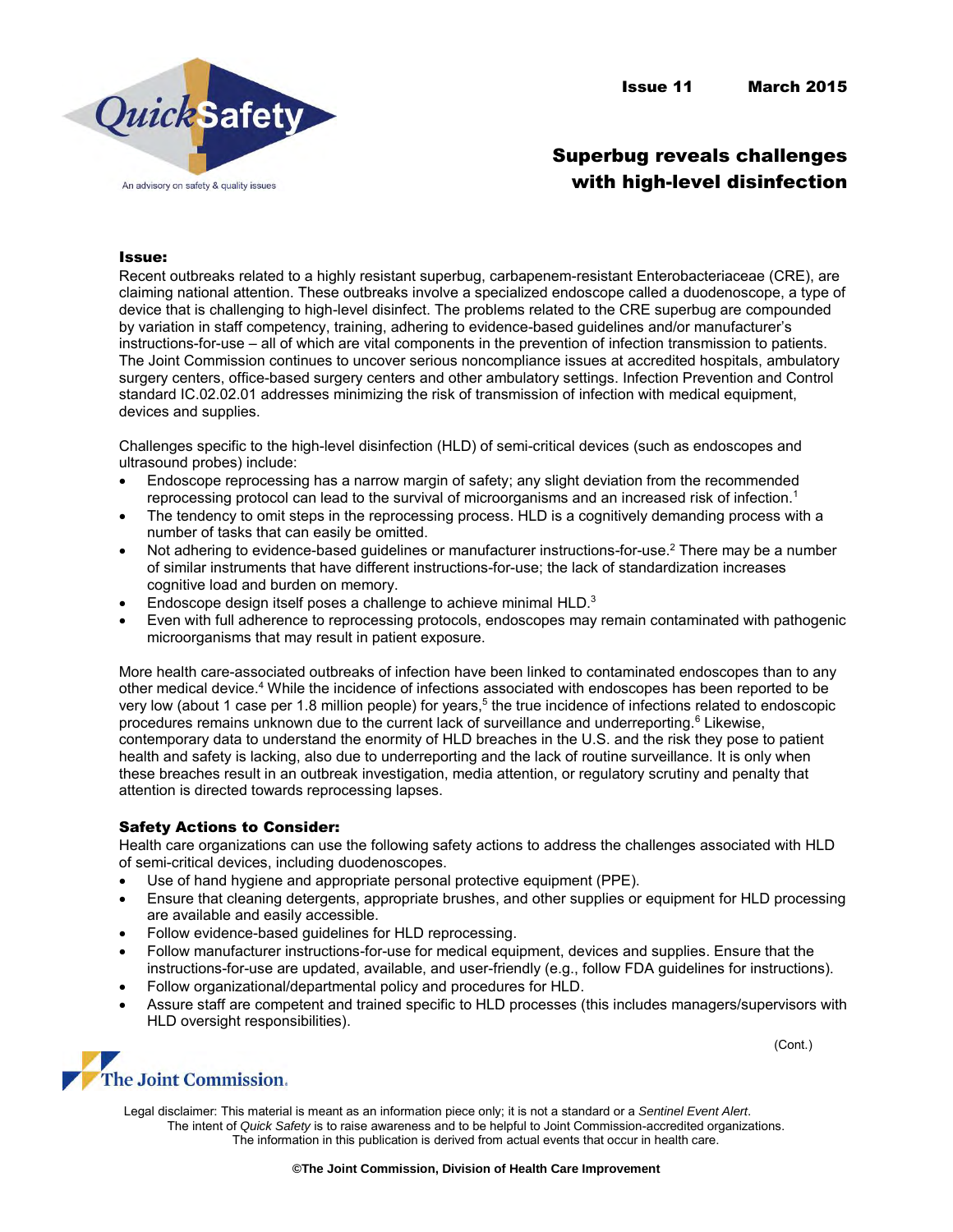## Superbug reveals challenges with high-level disinfection

## Issue:

Recent outbreaks related to a highly resistant superbug, carbapenem-resistant Enterobacteriaceae (CRE), are claiming national attention. These outbreaks involve a specialized endoscope called a duodenoscope, a type of device that is challenging to high-level disinfect. The problems related to the CRE superbug are compounded by variation in staff competency, training, adhering to evidence-based guidelines and/or manufacturer's instructions-for-use – all of which are vital components in the prevention of infection transmission to patients. The Joint Commission continues to uncover serious noncompliance issues at accredited hospitals, ambulatory surgery centers, office-based surgery centers and other ambulatory settings. Infection Prevention and Control standard IC.02.02.01 addresses minimizing the risk of transmission of infection with medical equipment, devices and supplies.

Challenges specific to the high-level disinfection (HLD) of semi-critical devices (such as endoscopes and ultrasound probes) include:

- Endoscope reprocessing has a narrow margin of safety; any slight deviation from the recommended reprocessing protocol can lead to the survival of microorganisms and an increased risk of infection.<sup>1</sup>
- The tendency to omit steps in the reprocessing process. HLD is a cognitively demanding process with a number of tasks that can easily be omitted.
- Not adhering to evidence-based guidelines or manufacturer instructions-for-use.<sup>2</sup> There may be a number of similar instruments that have different instructions-for-use; the lack of standardization increases cognitive load and burden on memory.
- **Endoscope design itself poses a challenge to achieve minimal HLD.** $3$
- Even with full adherence to reprocessing protocols, endoscopes may remain contaminated with pathogenic microorganisms that may result in patient exposure.

More health care-associated outbreaks of infection have been linked to contaminated endoscopes than to any other medical device.<sup>4</sup> While the incidence of infections associated with endoscopes has been reported to be very low (about 1 case per 1.8 million people) for years,<sup>5</sup> the true incidence of infections related to endoscopic procedures remains unknown due to the current lack of surveillance and underreporting.<sup>6</sup> Likewise, contemporary data to understand the enormity of HLD breaches in the U.S. and the risk they pose to patient health and safety is lacking, also due to underreporting and the lack of routine surveillance. It is only when these breaches result in an outbreak investigation, media attention, or regulatory scrutiny and penalty that attention is directed towards reprocessing lapses.

## Safety Actions to Consider:

Health care organizations can use the following safety actions to address the challenges associated with HLD of semi-critical devices, including duodenoscopes.

- Use of hand hygiene and appropriate personal protective equipment (PPE).
- Ensure that cleaning detergents, appropriate brushes, and other supplies or equipment for HLD processing are available and easily accessible.
- Follow evidence-based guidelines for HLD reprocessing.
- Follow manufacturer instructions-for-use for medical equipment, devices and supplies. Ensure that the instructions-for-use are updated, available, and user-friendly (e.g., follow FDA guidelines for instructions).
- Follow organizational/departmental policy and procedures for HLD.
- Assure staff are competent and trained specific to HLD processes (this includes managers/supervisors with HLD oversight responsibilities).



Legal disclaimer: This material is meant as an information piece only; it is not a standard or a *Sentinel Event Alert*. The intent of *Quick Safety* is to raise awareness and to be helpful to Joint Commission-accredited organizations. The information in this publication is derived from actual events that occur in health care.

(Cont.)